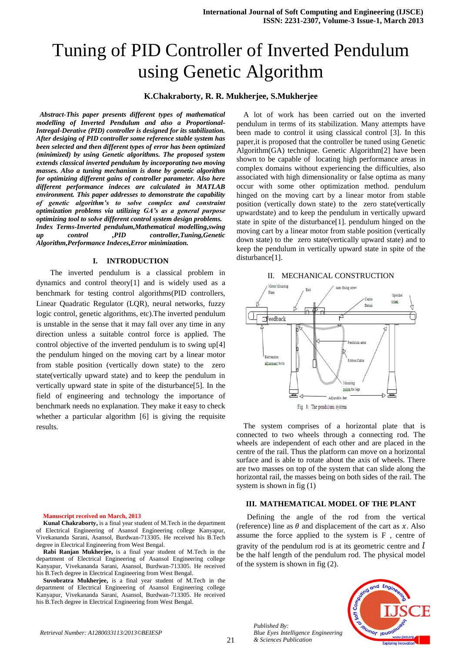# Tuning of PID Controller of Inverted Pendulum using Genetic Algorithm

# **K.Chakraborty, R. R. Mukherjee, S.Mukherjee**

 *Abstract-This paper presents different types of mathematical modelling of Inverted Pendulum and also a Proportional-Intregal-Derative (PID) controller is designed for its stabilization. After desiging of PID controller some reference stable system has been selected and then different types of error has been optimized (minimized) by using Genetic algorithms. The proposed system extends classical inverted pendulum by incorporating two moving masses. Also a tuning mechanism is done by genetic algorithm for optimizing different gains of controller parameter. Also here different performance indeces are calculated in MATLAB environment. This paper addresses to demonstrate the capability of genetic algorithm's to solve complex and constraint optimization problems via utilizing GA's as a general purpose optimizing tool to solve different control system design problems. Index Terms-Inverted pendulum,Mathematical modelling,swing up control ,PID controller,Tuning,Genetic Algorithm,Performance Indeces,Error minimization.*

#### **I. INTRODUCTION**

The inverted pendulum is a classical problem in dynamics and control theory[1] and is widely used as a benchmark for testing control algorithms(PID controllers, Linear Quadratic Regulator (LQR), neural networks, fuzzy logic control, genetic algorithms, etc).The inverted pendulum is unstable in the sense that it may fall over any time in any direction unless a suitable control force is applied. The control objective of the inverted pendulum is to swing up[4] the pendulum hinged on the moving cart by a linear motor from stable position (vertically down state) to the zero state(vertically upward state) and to keep the pendulum in vertically upward state in spite of the disturbance[5]. In the field of engineering and technology the importance of benchmark needs no explanation. They make it easy to check whether a particular algorithm [6] is giving the requisite results.

**Manuscript received on March, 2013**

**Kunal Chakraborty,** is a final year student of M.Tech in the department of Electrical Engineering of Asansol Engineering college Kanyapur, Vivekananda Sarani, Asansol, Burdwan-713305. He received his B.Tech degree in Electrical Engineering from West Bengal.

**Rabi Ranjan Mukherjee,** is a final year student of M.Tech in the department of Electrical Engineering of Asansol Engineering college Kanyapur, Vivekananda Sarani, Asansol, Burdwan-713305. He received his B.Tech degree in Electrical Engineering from West Bengal.

**Suvobratra Mukherjee,** is a final year student of M.Tech in the department of Electrical Engineering of Asansol Engineering college Kanyapur, Vivekananda Sarani, Asansol, Burdwan-713305. He received his B.Tech degree in Electrical Engineering from West Bengal.

A lot of work has been carried out on the inverted pendulum in terms of its stabilization. Many attempts have been made to control it using classical control [3]. In this paper,it is proposed that the controller be tuned using Genetic Algorithm(GA) technique. Genetic Algorithm[2] have been shown to be capable of locating high performance areas in complex domains without experiencing the difficulties, also associated with high dimensionality or false optima as many occur with some other optimization method. pendulum hinged on the moving cart by a linear motor from stable position (vertically down state) to the zero state(vertically upwardstate) and to keep the pendulum in vertically upward state in spite of the disturbance[1]. pendulum hinged on the moving cart by a linear motor from stable position (vertically down state) to the zero state(vertically upward state) and to keep the pendulum in vertically upward state in spite of the disturbance[1].



The system comprises of a horizontal plate that is connected to two wheels through a connecting rod. The wheels are independent of each other and are placed in the centre of the rail. Thus the platform can move on a horizontal surface and is able to rotate about the axis of wheels. There are two masses on top of the system that can slide along the horizontal rail, the masses being on both sides of the rail. The system is shown in fig (1)

## **III. MATHEMATICAL MODEL OF THE PLANT**

Defining the angle of the rod from the vertical (reference) line as  $\theta$  and displacement of the cart as x. Also assume the force applied to the system is F , centre of gravity of the pendulum rod is at its geometric centre and  $l$ be the half length of the pendulum rod. The physical model of the system is shown in fig (2).



*Published By: Blue Eyes Intelligence Engineering & Sciences Publication*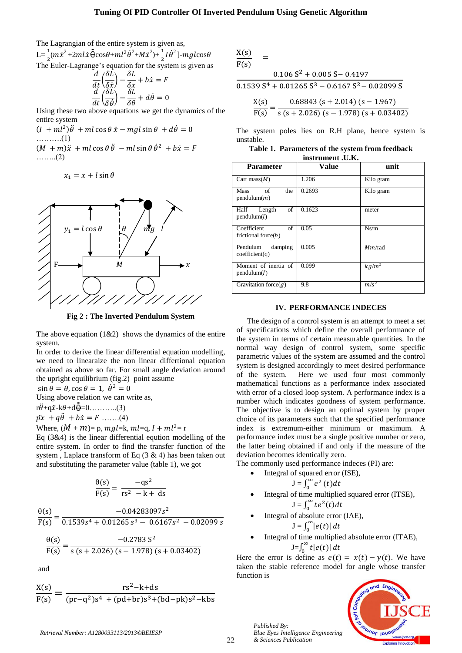The Lagrangian of the entire system is given as,

L= $\frac{1}{2}$ (m $\dot{x}^2$ +2ml $\dot{x}$   $\dot{\Theta}$ cos $\theta$ +ml<sup>2</sup> $\dot{\theta}^2$ +M $\dot{x}^2$ )+ $\frac{1}{2}$ I $\dot{\theta}^2$ ]-mglcos $\theta$ The Euler-Lagrange's equation for the system is given as

$$
\frac{d}{dt}\left(\frac{\delta L}{\delta \dot{x}}\right) - \frac{\delta L}{\delta x} + b\dot{x} = F
$$

$$
\frac{d}{dt}\left(\frac{\delta L}{\delta \dot{\theta}}\right) - \frac{\delta L}{\delta \theta} + d\dot{\theta} = 0
$$

Using these two above equations we get the dynamics of the entire system

 $(I + ml^2)$ ……….(1)  $(M + m)\ddot{x} + ml\cos\theta \ddot{\theta} - ml\sin\theta \dot{\theta}^2 + b\dot{x} = F$ ……..(2)

$$
x_1 = x + l \sin \theta
$$



**Fig 2 : The Inverted Pendulum System**

The above equation  $(1&2)$  shows the dynamics of the entire system.

In order to derive the linear differential equation modelling, we need to linearaize the non linear differtional equation obtained as above so far. For small angle deviation around the upright equilibrium (fig.2) point assume

 $\sin \theta = \theta$ ,  $\cos \theta = 1$ ,  $\dot{\theta}^2 = 0$ 

Using above relation we can write as,

 $r\ddot{\theta}$ +q $\ddot{x}$ -k $\theta$ +d $\dot{\theta}$ =0………..(3)

 $\vec{px} + \vec{q\theta} + \vec{bx} = F \dots (4)$ 

Where,  $(M + m)$ = p,  $mgl$ =k,  $ml$ =q,  $l + ml$ <sup>2</sup>= r

Eq (3&4) is the linear differential eqution modelling of the entire system. In order to find the transfer function of the system, Laplace transform of Eq  $(3 \& 4)$  has been taken out and substituting the parameter value (table 1), we got

$$
\frac{\theta(s)}{F(s)} = \frac{-qs^2}{rs^2 - k + d}
$$

$$
\frac{\theta(s)}{F(s)} = \frac{-0.04283097s^2}{0.1539s^4 + 0.01265s^3 - 0.6167s^2 - 0.02099s}
$$
  
 
$$
\theta(s) = -0.2783s^2
$$

$$
\frac{\theta(s)}{F(s)} = \frac{-0.2783 \text{ S}^2}{s (s + 2.026) (s - 1.978) (s + 0.03402)}
$$

and

$$
\frac{X(s)}{F(s)} = \frac{rs^2 - k + ds}{(pr - q^2)s^4 + (pd + br)s^3 + (bd - pk)s^2 - kbs}
$$

| X(s) |      |                                                  |
|------|------|--------------------------------------------------|
| F(s) |      |                                                  |
|      |      | $0.106 S2 + 0.005 S - 0.4197$                    |
|      |      | $0.1539 S4 + 0.01265 S3 - 0.6167 S2 - 0.02099 S$ |
|      | X(s) | $0.68843$ (s + 2.014) (s - 1.967)                |
|      | F(s) | $s (s + 2.026) (s - 1.978) (s + 0.03402)$        |

The system poles lies on R.H plane, hence system is unstable.

| Table 1. Parameters of the system from feedback |
|-------------------------------------------------|
| instrument J.K.                                 |

| <b>Parameter</b>                            | Value  | unit      |  |  |  |
|---------------------------------------------|--------|-----------|--|--|--|
| Cart mass $(M)$                             | 1.206  | Kilo gram |  |  |  |
| οf<br>the<br><b>Mass</b><br>pendulum(m)     | 0.2693 | Kilo gram |  |  |  |
| of<br>Half<br>Length<br>pendulum(l)         | 0.1623 | meter     |  |  |  |
| Coefficient<br>of<br>frictional force $(b)$ | 0.05   | Ns/m      |  |  |  |
| damping<br>Pendulum<br>coefficient(q)       | 0.005  | Mm/rad    |  |  |  |
| Moment of inertia of<br>pendulum(I)         | 0.099  | $kg/m^2$  |  |  |  |
| Gravitation force $(g)$                     | 9.8    | $m/s^2$   |  |  |  |

## **IV. PERFORMANCE INDECES**

The design of a control system is an attempt to meet a set of specifications which define the overall performance of the system in terms of certain measurable quantities. In the normal way design of control system, some specific parametric values of the system are assumed and the control system is designed accordingly to meet desired performance of the system. Here we used four most commonly mathematical functions as a performance index associated with error of a closed loop system. A performance index is a number which indicates goodness of system performance. The objective is to design an optimal system by proper choice of its parameters such that the specified performance index is extremum-either minimum or maximum. A performance index must be a single positive number or zero, the latter being obtained if and only if the measure of the deviation becomes identically zero.

The commonly used performance indeces (PI) are:

Integral of squared error (ISE), 
$$
\infty
$$

$$
J=\int_0^\infty e^2(t)dt
$$

 Integral of time multiplied squared error (ITSE),  $J=\int_0^\infty t e^2$ 

• Integral of absolute error (IAE), 
$$
\int_{0}^{\infty} |z(t)| dt
$$

$$
\mathbf{J} = \int_0^\infty |e(t)| \, dt
$$

Integral of time multiplied absolute error (ITAE),  $J=f_0^{\infty}$  $\int_0^\infty t|e(t)| dt$ 

Here the error is define as  $e(t) = x(t) - y(t)$ . We have taken the stable reference model for angle whose transfer function is



22 *Published By: Blue Eyes Intelligence Engineering & Sciences Publication*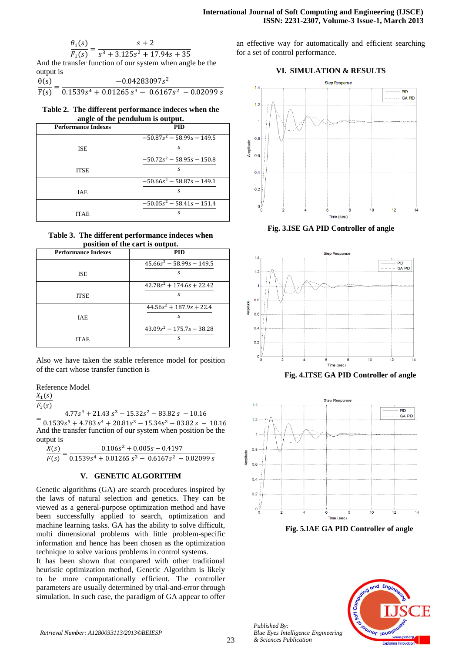$$
\frac{\theta_1(s)}{F_1(s)} = \frac{s+2}{s^3 + 3.125s^2 + 17.94s + 11.94s + 11.94s + 11.94s + 11.94s + 11.94s + 11.94s + 11.94s + 11.94s + 11.94s + 11.94s + 11.94s + 11.94s + 11.94s + 11.94s + 11.94s + 11.94s + 11.94s + 11.94s + 11.94s + 11.94s + 11.94s + 11.94s + 11.94s + 11.94s + 11.94s + 11.94s + 11.94s + 11.94s + 11.94s + 11.94s + 11.94s + 11.94s + 11.94s + 11.94s + 11.94s + 11.94s + 11.94s + 11.94s + 11.94s + 11.94s + 11.94s + 11.94s + 11.94s + 11.94s + 11.94s + 11.94s + 11.94s + 11.94s + 11.94s + 11.94s + 11.94s + 11.94s + 11.94s + 11.94s + 11.94s + 11.94s + 11.94s + 11.94s + 11.94s + 11.94s + 11.94s + 11.94s + 11.94s + 11.94s + 11.94s + 11.94s + 11.94s + 11.94s + 11.94s + 11.94s + 11.94s + 11.94s + 11.94s + 11.94s + 11.94s + 11.94s + 11.94s + 11.94s + 11.94s + 11.94s + 11.94s + 11.94s + 11.94s + 11.94s + 11.94s + 11.94s + 11.94s + 11.94s + 11.94s + 11.9
$$

And the transfer function of our system when angle be the output is

$$
\frac{\theta(s)}{F(s)} = \frac{-0.04283097s^2}{0.1539s^4 + 0.01265s^3 - 0.6167s^2 - 0.02099s}
$$

**Table 2. The different performance indeces when the angle of the pendulum is output.**

| <b>Performance Indexes</b> | PID                                     |
|----------------------------|-----------------------------------------|
|                            | $-50.87s^2 - 58.99s - 149.5$            |
| <b>ISE</b>                 | S                                       |
|                            | $-50.72s^2 - 58.95s - 150.8$            |
| <b>ITSE</b>                | S.                                      |
|                            | $-50.66s^2 - 58.87s - 149.1$            |
| <b>IAE</b>                 | S.                                      |
|                            | $\overline{-50.05s^2} - 58.41s - 151.4$ |
| <b>ITAE</b>                | S                                       |

**Table 3. The different performance indeces when position of the cart is output.**

| <b>Performance Indexes</b> | <b>PID</b>                         |
|----------------------------|------------------------------------|
|                            | $45.66s^2 - 58.99s - 149.5$        |
| <b>ISE</b>                 | S                                  |
|                            | $42.78s2 + 174.6s + 22.42$         |
| <b>ITSE</b>                | s                                  |
|                            | $44.56s^2 + 187.9s + 22.4$         |
| <b>IAE</b>                 | S                                  |
|                            | $\sqrt{43.09s^2 - 175.7s - 38.28}$ |
| <b>ITAE</b>                | S                                  |

Also we have taken the stable reference model for position of the cart whose transfer function is

Reference Model

 $X_1(s)$ 

 $\overline{F_1(s)}$ 

 $=$  $4.77s<sup>4</sup> + 21.43s<sup>3</sup> - 15.32s<sup>2</sup>$  $0.1539s^5 + 4.783s^4 + 20.81s^3 - 15.34s^2$ And the transfer function of our system when position be the output is

| .<br>X(s) | $0.106s^2 + 0.005s - 0.4197$                                                                         |  |
|-----------|------------------------------------------------------------------------------------------------------|--|
|           | $F(s)$ <sup>-</sup> 0.1539s <sup>4</sup> + 0.01265 s <sup>3</sup> - 0.6167s <sup>2</sup> - 0.02099 s |  |

## **V. GENETIC ALGORITHM**

Genetic algorithms (GA) are search procedures inspired by the laws of natural selection and genetics. They can be viewed as a general-purpose optimization method and have been successfully applied to search, optimization and machine learning tasks. GA has the ability to solve difficult, multi dimensional problems with little problem-specific information and hence has been chosen as the optimization technique to solve various problems in control systems.

It has been shown that compared with other traditional heuristic optimization method, Genetic Algorithm is likely to be more computationally efficient. The controller parameters are usually determined by trial-and-error through simulation. In such case, the paradigm of GA appear to offer an effective way for automatically and efficient searching for a set of control performance.

## **VI. SIMULATION & RESULTS**



**Fig. 3.ISE GA PID Controller of angle**



 **Fig. 4.ITSE GA PID Controller of angle**



 **Fig. 5.IAE GA PID Controller of angle**



*Published By:*

*& Sciences Publication*